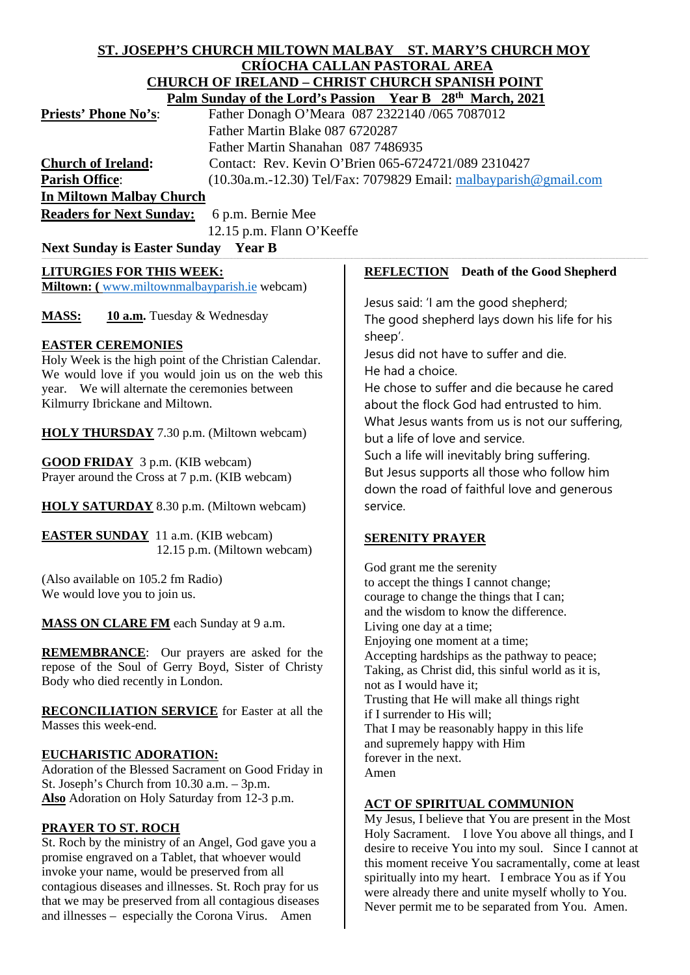#### **ST. JOSEPH'S CHURCH MILTOWN MALBAY ST. MARY'S CHURCH MOY CRÍOCHA CALLAN PASTORAL AREA CHURCH OF IRELAND – CHRIST CHURCH SPANISH POINT Palm Sunday of the Lord's Passion Year B 28th March, 2021**

| $\frac{1}{2}$ and sunday of the EUR ST assion $\frac{1}{2}$ call $\frac{1}{2}$ $\frac{20}{2}$ ivident, $\frac{20}{21}$ |
|------------------------------------------------------------------------------------------------------------------------|
| Father Donagh O'Meara 087 2322140 /065 7087012                                                                         |
| Father Martin Blake 087 6720287                                                                                        |
| Father Martin Shanahan 087 7486935                                                                                     |
| Contact: Rev. Kevin O'Brien 065-6724721/089 2310427                                                                    |
| $(10.30a.m.-12.30)$ Tel/Fax: 7079829 Email: malbayparish @gmail.com                                                    |
| <b>In Miltown Malbay Church</b>                                                                                        |
| <b>Readers for Next Sunday:</b> 6 p.m. Bernie Mee                                                                      |
|                                                                                                                        |

12.15 p.m. Flann O'Keeffe

# **Next Sunday is Easter Sunday Year B**

#### **LITURGIES FOR THIS WEEK:**

**Miltown: (** [www.miltownmalbayparish.ie](http://www.miltownmalbayparish.ie/) webcam)

**MASS: 10 a.m.** Tuesday & Wednesday

### **EASTER CEREMONIES**

Holy Week is the high point of the Christian Calendar. We would love if you would join us on the web this year. We will alternate the ceremonies between Kilmurry Ibrickane and Miltown.

**HOLY THURSDAY** 7.30 p.m. (Miltown webcam)

**GOOD FRIDAY** 3 p.m. (KIB webcam) Prayer around the Cross at 7 p.m. (KIB webcam)

**HOLY SATURDAY** 8.30 p.m. (Miltown webcam)

**EASTER SUNDAY** 11 a.m. (KIB webcam) 12.15 p.m. (Miltown webcam)

(Also available on 105.2 fm Radio) We would love you to join us.

**MASS ON CLARE FM** each Sunday at 9 a.m.

**REMEMBRANCE**: Our prayers are asked for the repose of the Soul of Gerry Boyd, Sister of Christy Body who died recently in London.

**RECONCILIATION SERVICE** for Easter at all the Masses this week-end.

#### **EUCHARISTIC ADORATION:**

Adoration of the Blessed Sacrament on Good Friday in St. Joseph's Church from 10.30 a.m. – 3p.m. **Also** Adoration on Holy Saturday from 12-3 p.m.

#### **PRAYER TO ST. ROCH**

St. Roch by the ministry of an Angel, God gave you a promise engraved on a Tablet, that whoever would invoke your name, would be preserved from all contagious diseases and illnesses. St. Roch pray for us that we may be preserved from all contagious diseases and illnesses – especially the Corona Virus. Amen

#### **REFLECTION Death of the Good Shepherd**

Jesus said: 'I am the good shepherd; The good shepherd lays down his life for his sheep'.

Jesus did not have to suffer and die. He had a choice.

He chose to suffer and die because he cared about the flock God had entrusted to him. What Jesus wants from us is not our suffering, but a life of love and service.

Such a life will inevitably bring suffering. But Jesus supports all those who follow him down the road of faithful love and generous service.

## **SERENITY PRAYER**

God grant me the serenity to accept the things I cannot change; courage to change the things that I can; and the wisdom to know the difference. Living one day at a time; Enjoying one moment at a time; Accepting hardships as the pathway to peace; Taking, as Christ did, this sinful world as it is, not as I would have it; Trusting that He will make all things right if I surrender to His will; That I may be reasonably happy in this life and supremely happy with Him forever in the next. Amen

## **ACT OF SPIRITUAL COMMUNION**

My Jesus, I believe that You are present in the Most Holy Sacrament. I love You above all things, and I desire to receive You into my soul. Since I cannot at this moment receive You sacramentally, come at least spiritually into my heart. I embrace You as if You were already there and unite myself wholly to You. Never permit me to be separated from You. Amen.